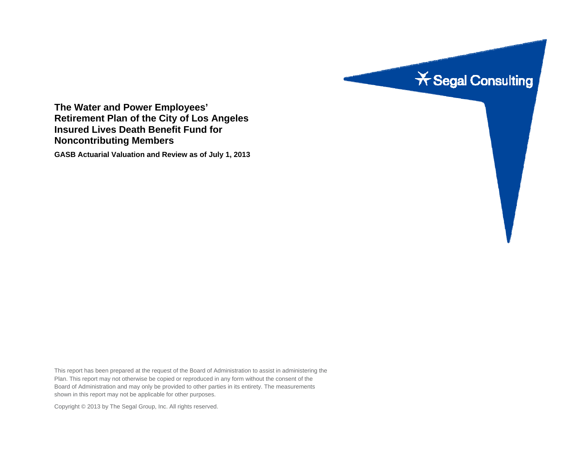

**The Water and Power Employees' Retirement Plan of the City of Los Angeles Insured Lives Death Benefit Fund for Noncontributing Members** 

**GASB Actuarial Valuation and Review as of July 1, 2013** 

This report has been prepared at the request of the Board of Administration to assist in administering the Plan. This report may not otherwise be copied or reproduced in any form without the consent of the Board of Administration and may only be provided to other parties in its entirety. The measurements shown in this report may not be applicable for other purposes.

Copyright © 2013 by The Segal Group, Inc. All rights reserved.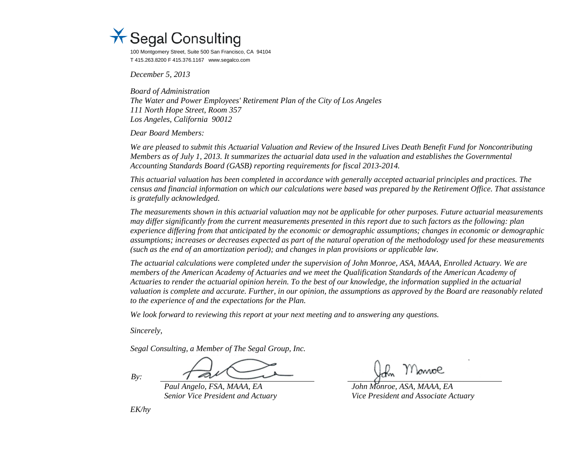

100 Montgomery Street, Suite 500 San Francisco, CA 94104 T 415.263.8200 F 415.376.1167 www.segalco.com

*December 5, 2013* 

*Board of Administration The Water and Power Employees' Retirement Plan of the City of Los Angeles 111 North Hope Street, Room 357 Los Angeles, California 90012* 

*Dear Board Members:* 

*We are pleased to submit this Actuarial Valuation and Review of the Insured Lives Death Benefit Fund for Noncontributing Members as of July 1, 2013. It summarizes the actuarial data used in the valuation and establishes the Governmental Accounting Standards Board (GASB) reporting requirements for fiscal 2013-2014.* 

*This actuarial valuation has been completed in accordance with generally accepted actuarial principles and practices. The census and financial information on which our calculations were based was prepared by the Retirement Office. That assistance is gratefully acknowledged.* 

*The measurements shown in this actuarial valuation may not be applicable for other purposes. Future actuarial measurements may differ significantly from the current measurements presented in this report due to such factors as the following: plan experience differing from that anticipated by the economic or demographic assumptions; changes in economic or demographic assumptions; increases or decreases expected as part of the natural operation of the methodology used for these measurements (such as the end of an amortization period); and changes in plan provisions or applicable law.* 

*The actuarial calculations were completed under the supervision of John Monroe, ASA, MAAA, Enrolled Actuary. We are members of the American Academy of Actuaries and we meet the Qualification Standards of the American Academy of Actuaries to render the actuarial opinion herein. To the best of our knowledge, the information supplied in the actuarial valuation is complete and accurate. Further, in our opinion, the assumptions as approved by the Board are reasonably related to the experience of and the expectations for the Plan.* 

*We look forward to reviewing this report at your next meeting and to answering any questions.* 

*Sincerely,* 

*Segal Consulting, a Member of The Segal Group, Inc.* 

*By:* 

 *Paul Angelo, FSA, MAAA, EA John Monroe, ASA, MAAA, EA* 

 *Senior Vice President and Actuary Vice President and Associate Actuary* 

*EK/hy*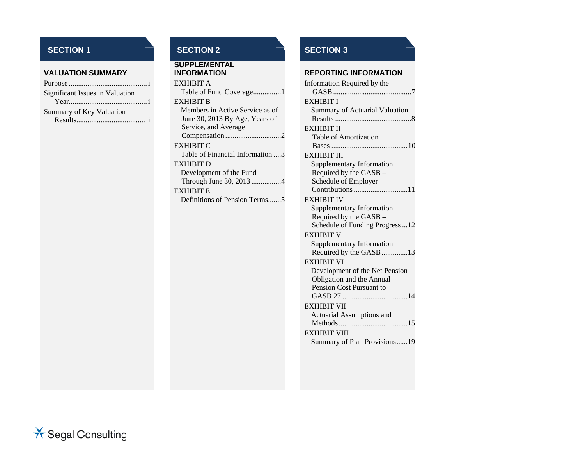#### **VALUATION SUMMARY**

| Significant Issues in Valuation |
|---------------------------------|
|                                 |
| Summary of Key Valuation        |
|                                 |

# **SUPPLEMENTAL**  EXHIBIT ATable of Fund Coverage ................1 EVLIIDIT B

| EXHIBIT B                        |
|----------------------------------|
| Members in Active Service as of  |
| June 30, 2013 By Age, Years of   |
| Service, and Average             |
| Compensation2                    |
| <b>EXHIBIT C</b>                 |
| Table of Financial Information 3 |
| EXHIBIT D                        |
| Development of the Fund          |
| Through June 30, 2013 4          |
| <b>EXHIBIT E</b>                 |
| Definitions of Pension Terms5    |

# **SECTION 1** SECTION 2 SECTION 3

#### **INFORMATION REPORTING INFORMATION**

| Information Required by the      |
|----------------------------------|
| <b>EXHIBIT I</b>                 |
| Summary of Actuarial Valuation   |
|                                  |
| EXHIBIT II                       |
| <b>Table of Amortization</b>     |
|                                  |
| <b>EXHIBIT III</b>               |
| <b>Supplementary Information</b> |
| Required by the GASB -           |
| Schedule of Employer             |
| Contributions 11                 |
| <b>EXHIBIT IV</b>                |
| Supplementary Information        |
| Required by the GASB -           |
| Schedule of Funding Progress12   |
| <b>EXHIBIT V</b>                 |
| Supplementary Information        |
| Required by the GASB 13          |
| <b>EXHIBIT VI</b>                |
| Development of the Net Pension   |
| Obligation and the Annual        |
| Pension Cost Pursuant to         |
|                                  |
| <b>EXHIBIT VII</b>               |
| Actuarial Assumptions and        |
|                                  |
| <b>EXHIBIT VIII</b>              |
| Summary of Plan Provisions19     |
|                                  |
|                                  |

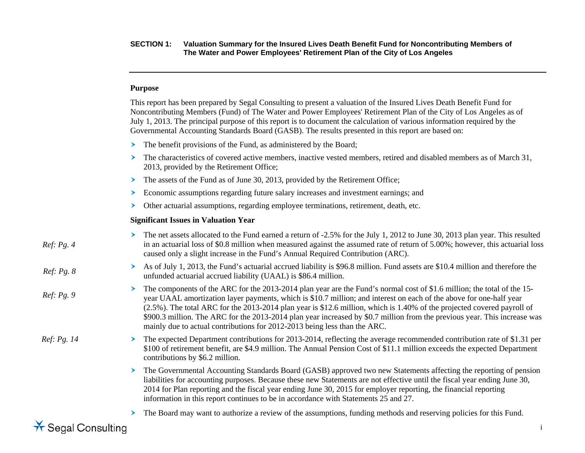#### **Purpose**

This report has been prepared by Segal Consulting to present a valuation of the Insured Lives Death Benefit Fund for Noncontributing Members (Fund) of The Water and Power Employees' Retirement Plan of the City of Los Angeles as of July 1, 2013. The principal purpose of this report is to document the calculation of various information required by the Governmental Accounting Standards Board (GASB). The results presented in this report are based on:

- ≻ The benefit provisions of the Fund, as administered by the Board;
- The characteristics of covered active members, inactive vested members, retired and disabled members as of March 31, 2013, provided by the Retirement Office;
- The assets of the Fund as of June 30, 2013, provided by the Retirement Office;
- $\blacktriangleright$ Economic assumptions regarding future salary increases and investment earnings; and
- $\blacktriangleright$ Other actuarial assumptions, regarding employee terminations, retirement, death, etc.

#### **Significant Issues in Valuation Year**

| Ref: Pg. 4  | The net assets allocated to the Fund earned a return of -2.5% for the July 1, 2012 to June 30, 2013 plan year. This resulted<br>in an actuarial loss of \$0.8 million when measured against the assumed rate of return of 5.00%; however, this actuarial loss<br>caused only a slight increase in the Fund's Annual Required Contribution (ARC).                                                                                                                                                                                                                                        |
|-------------|-----------------------------------------------------------------------------------------------------------------------------------------------------------------------------------------------------------------------------------------------------------------------------------------------------------------------------------------------------------------------------------------------------------------------------------------------------------------------------------------------------------------------------------------------------------------------------------------|
| Ref: Pg. 8  | As of July 1, 2013, the Fund's actuarial accrued liability is \$96.8 million. Fund assets are \$10.4 million and therefore the<br>unfunded actuarial accrued liability (UAAL) is \$86.4 million.                                                                                                                                                                                                                                                                                                                                                                                        |
| Ref: Pg. 9  | The components of the ARC for the 2013-2014 plan year are the Fund's normal cost of \$1.6 million; the total of the 15-<br>year UAAL amortization layer payments, which is \$10.7 million; and interest on each of the above for one-half year<br>$(2.5\%)$ . The total ARC for the 2013-2014 plan year is \$12.6 million, which is 1.40% of the projected covered payroll of<br>\$900.3 million. The ARC for the 2013-2014 plan year increased by \$0.7 million from the previous year. This increase was<br>mainly due to actual contributions for 2012-2013 being less than the ARC. |
| Ref: Pg. 14 | The expected Department contributions for 2013-2014, reflecting the average recommended contribution rate of \$1.31 per<br>\$100 of retirement benefit, are \$4.9 million. The Annual Pension Cost of \$11.1 million exceeds the expected Department<br>contributions by \$6.2 million.                                                                                                                                                                                                                                                                                                 |
|             | The Governmental Accounting Standards Board (GASB) approved two new Statements affecting the reporting of pension<br>≻<br>liabilities for accounting purposes. Because these new Statements are not effective until the fiscal year ending June 30,<br>2014 for Plan reporting and the fiscal year ending June 30, 2015 for employer reporting, the financial reporting<br>information in this report continues to be in accordance with Statements 25 and 27.                                                                                                                          |
|             | The Board may want to authorize a review of the assumptions, funding methods and reserving policies for this Fund.                                                                                                                                                                                                                                                                                                                                                                                                                                                                      |

 $\star$  Segal Consulting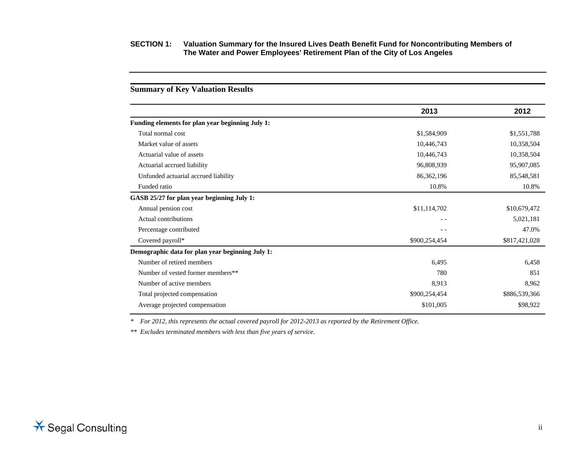# **2013 2012 Funding elements for plan year beginning July 1:**  Total normal cost \$1,584,909 \$1,551,788 Market value of assets 10,446,743 10,358,504 Actuarial value of assets 10,358,504 10,358,504 Actuarial accrued liability 85,907,085 96,808,939 95,907,085 Unfunded actuarial accrued liability 86,362,196 85,548,581 Funded ratio 10.8% 10.8% 10.8% 10.8% 10.8% 10.8% 10.8% 10.8% 10.8% 10.8% 10.8% 10.8% 10.8% 10.8% 10.8% 10.8% 10.8% 10.8% 10.8% 10.8% 10.8% 10.8% 10.8% 10.8% 10.8% 10.8% 10.8% 10.8% 10.8% 10.8% 10.8% 10.8% 10.8% 10.8% 10.8% **GASB 25/27 for plan year beginning July 1:**  Annual pension cost \$11,114,702 \$10,679,472 Actual contributions 5,021,181 Percentage contributed  $47.0\%$ Covered payroll\* \$817,421,028 **Demographic data for plan year beginning July 1:**  Number of retired members 6,458 6,458 Number of vested former members\*\* 780 851 Number of active members 8,962 Total projected compensation  $$900,254,454$   $$886,539,366$ Average projected compensation  $$101,005$   $$98,922$

**Summary of Key Valuation Results** 

*\* For 2012, this represents the actual covered payroll for 2012-2013 as reported by the Retirement Office.* 

*\*\* Excludes terminated members with less than five years of service.*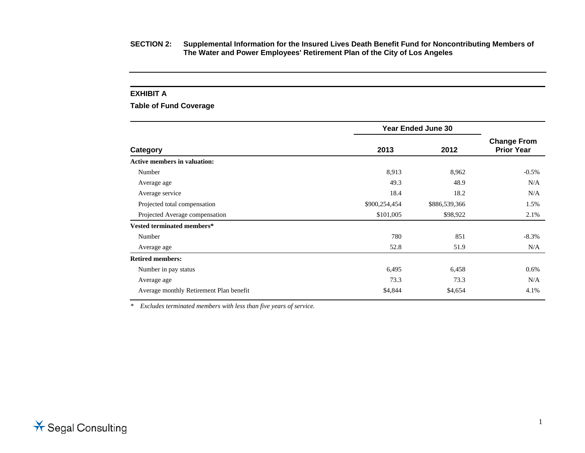#### **EXHIBIT A**

**Table of Fund Coverage** 

|                                         | <b>Year Ended June 30</b> |               |                                         |
|-----------------------------------------|---------------------------|---------------|-----------------------------------------|
| Category                                | 2013                      | 2012          | <b>Change From</b><br><b>Prior Year</b> |
| <b>Active members in valuation:</b>     |                           |               |                                         |
| Number                                  | 8,913                     | 8,962         | $-0.5\%$                                |
| Average age                             | 49.3                      | 48.9          | N/A                                     |
| Average service                         | 18.4                      | 18.2          | N/A                                     |
| Projected total compensation            | \$900,254,454             | \$886,539,366 | 1.5%                                    |
| Projected Average compensation          | \$101,005                 | \$98,922      | 2.1%                                    |
| Vested terminated members*              |                           |               |                                         |
| Number                                  | 780                       | 851           | $-8.3%$                                 |
| Average age                             | 52.8                      | 51.9          | N/A                                     |
| <b>Retired members:</b>                 |                           |               |                                         |
| Number in pay status                    | 6,495                     | 6,458         | $0.6\%$                                 |
| Average age                             | 73.3                      | 73.3          | N/A                                     |
| Average monthly Retirement Plan benefit | \$4,844                   | \$4,654       | 4.1%                                    |

*\* Excludes terminated members with less than five years of service.*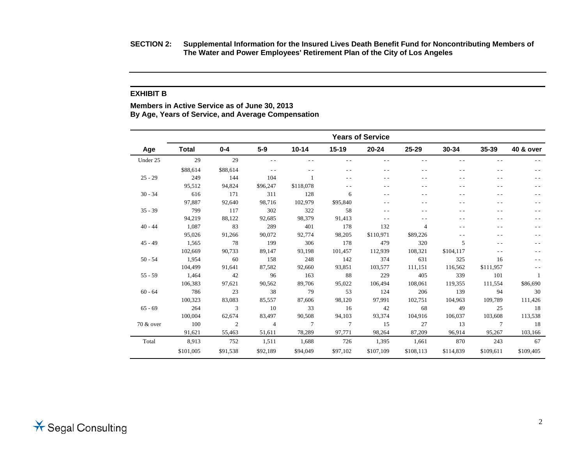**SECTION 2: Supplemental Information for the Insured Lives Death Benefit Fund for Noncontributing Members of The Water and Power Employees' Retirement Plan of the City of Los Angeles** 

#### **EXHIBIT B**

**Members in Active Service as of June 30, 2013 By Age, Years of Service, and Average Compensation** 

|           | <b>Years of Service</b> |          |                |           |               |           |                |               |               |           |
|-----------|-------------------------|----------|----------------|-----------|---------------|-----------|----------------|---------------|---------------|-----------|
| Age       | <b>Total</b>            | $0 - 4$  | $5-9$          | $10 - 14$ | $15 - 19$     | $20 - 24$ | 25-29          | $30 - 34$     | 35-39         | 40 & over |
| Under 25  | 29                      | 29       |                | - -       | $\sim$ $\sim$ |           |                | $\sim$ $\sim$ | $\sim$ $\sim$ |           |
|           | \$88,614                | \$88,614 |                |           | $ -$          |           |                | - -           | $ -$          |           |
| $25 - 29$ | 249                     | 144      | 104            |           | $ -$          |           |                |               |               |           |
|           | 95,512                  | 94,824   | \$96,247       | \$118,078 |               |           |                |               |               |           |
| $30 - 34$ | 616                     | 171      | 311            | 128       | 6             | $ -$      |                | - -           | - -           |           |
|           | 97,887                  | 92,640   | 98,716         | 102,979   | \$95,840      | $ -$      |                | - -           | - -           |           |
| $35 - 39$ | 799                     | 117      | 302            | 322       | 58            | $ -$      |                |               | - -           |           |
|           | 94,219                  | 88,122   | 92,685         | 98,379    | 91,413        | $ -$      |                |               | - -           |           |
| $40 - 44$ | 1,087                   | 83       | 289            | 401       | 178           | 132       | $\overline{4}$ | $ -$          | $ -$          |           |
|           | 95,026                  | 91,266   | 90,072         | 92,774    | 98,205        | \$110,971 | \$89,226       |               |               |           |
| $45 - 49$ | 1,565                   | 78       | 199            | 306       | 178           | 479       | 320            | 5             | - -           |           |
|           | 102,669                 | 90,733   | 89,147         | 93,198    | 101,457       | 112,939   | 108,321        | \$104,117     | $ -$          |           |
| $50 - 54$ | 1,954                   | 60       | 158            | 248       | 142           | 374       | 631            | 325           | 16            |           |
|           | 104,499                 | 91,641   | 87,582         | 92,660    | 93,851        | 103,577   | 111,151        | 116,562       | \$111,957     |           |
| $55 - 59$ | 1,464                   | 42       | 96             | 163       | 88            | 229       | 405            | 339           | 101           |           |
|           | 106,383                 | 97,621   | 90,562         | 89,706    | 95,022        | 106,494   | 108,061        | 119,355       | 111,554       | \$86,690  |
| $60 - 64$ | 786                     | 23       | 38             | 79        | 53            | 124       | 206            | 139           | 94            | 30        |
|           | 100,323                 | 83,083   | 85,557         | 87,606    | 98,120        | 97,991    | 102,751        | 104,963       | 109,789       | 111,426   |
| $65 - 69$ | 264                     | 3        | 10             | 33        | 16            | 42        | 68             | 49            | 25            | 18        |
|           | 100,004                 | 62,674   | 83,497         | 90,508    | 94,103        | 93,374    | 104,916        | 106,037       | 103,608       | 113,538   |
| 70 & over | 100                     | 2        | $\overline{4}$ | $\tau$    | $\tau$        | 15        | 27             | 13            | 7             | 18        |
|           | 91,621                  | 55,463   | 51,611         | 78,289    | 97,771        | 98,264    | 87,209         | 96,914        | 95,267        | 103,166   |
| Total     | 8,913                   | 752      | 1,511          | 1,688     | 726           | 1,395     | 1,661          | 870           | 243           | 67        |
|           | \$101,005               | \$91,538 | \$92,189       | \$94,049  | \$97,102      | \$107,109 | \$108,113      | \$114,839     | \$109,611     | \$109,405 |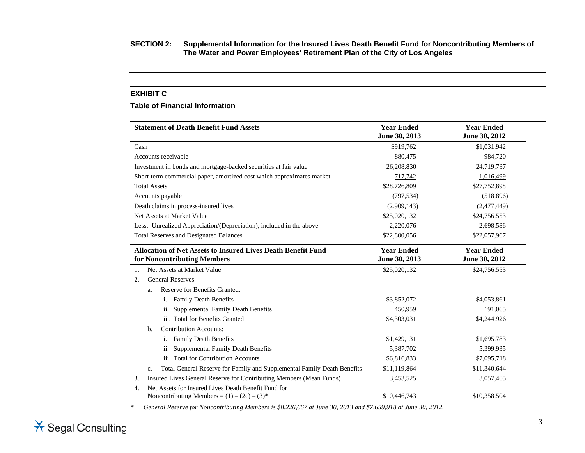#### **EXHIBIT C**

#### **Table of Financial Information**

| <b>Statement of Death Benefit Fund Assets</b>                                                                             | <b>Year Ended</b><br>June 30, 2013 | <b>Year Ended</b><br>June 30, 2012 |
|---------------------------------------------------------------------------------------------------------------------------|------------------------------------|------------------------------------|
| Cash                                                                                                                      | \$919,762                          | \$1,031,942                        |
| Accounts receivable                                                                                                       | 880,475                            | 984,720                            |
| Investment in bonds and mortgage-backed securities at fair value                                                          | 26,208,830                         | 24,719,737                         |
| Short-term commercial paper, amortized cost which approximates market                                                     | 717,742                            | 1,016,499                          |
| <b>Total Assets</b>                                                                                                       | \$28,726,809                       | \$27,752,898                       |
| Accounts payable                                                                                                          | (797, 534)                         | (518, 896)                         |
| Death claims in process-insured lives                                                                                     | (2,909,143)                        | (2,477,449)                        |
| Net Assets at Market Value                                                                                                | \$25,020,132                       | \$24,756,553                       |
| Less: Unrealized Appreciation/(Depreciation), included in the above                                                       | 2,220,076                          | 2,698,586                          |
| <b>Total Reserves and Designated Balances</b>                                                                             | \$22,800,056                       | \$22,057,967                       |
| <b>Allocation of Net Assets to Insured Lives Death Benefit Fund</b><br>for Noncontributing Members                        | <b>Year Ended</b><br>June 30, 2013 | <b>Year Ended</b><br>June 30, 2012 |
| Net Assets at Market Value<br>$\mathbf{1}$ .                                                                              | \$25,020,132                       | \$24,756,553                       |
| <b>General Reserves</b><br>2.                                                                                             |                                    |                                    |
| Reserve for Benefits Granted:<br>a.                                                                                       |                                    |                                    |
| <b>Family Death Benefits</b><br>i.                                                                                        | \$3,852,072                        | \$4,053,861                        |
| <b>Supplemental Family Death Benefits</b><br>11.                                                                          | 450,959                            | 191,065                            |
| iii. Total for Benefits Granted                                                                                           | \$4,303,031                        | \$4,244,926                        |
| <b>Contribution Accounts:</b><br>b.                                                                                       |                                    |                                    |
| <b>Family Death Benefits</b><br>i.                                                                                        | \$1,429,131                        | \$1,695,783                        |
| <b>Supplemental Family Death Benefits</b><br>ii.                                                                          | 5,387,702                          | 5,399,935                          |
| iii. Total for Contribution Accounts                                                                                      | \$6,816,833                        | \$7,095,718                        |
| Total General Reserve for Family and Supplemental Family Death Benefits<br>c.                                             | \$11,119,864                       | \$11,340,644                       |
| Insured Lives General Reserve for Contributing Members (Mean Funds)<br>3.                                                 | 3,453,525                          | 3,057,405                          |
| Net Assets for Insured Lives Death Benefit Fund for<br>$\overline{4}$ .<br>Noncontributing Members = $(1) - (2c) - (3)^*$ | \$10,446,743                       | \$10,358,504                       |

*\* General Reserve for Noncontributing Members is \$8,226,667 at June 30, 2013 and \$7,659,918 at June 30, 2012.*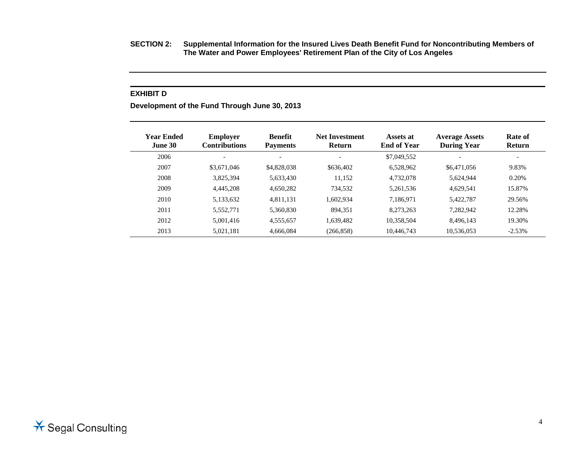**SECTION 2: Supplemental Information for the Insured Lives Death Benefit Fund for Noncontributing Members of The Water and Power Employees' Retirement Plan of the City of Los Angeles** 

#### **EXHIBIT D**

**Development of the Fund Through June 30, 2013** 

| Year Ended<br><b>June 30</b> | <b>Employer</b><br><b>Contributions</b> | <b>Benefit</b><br><b>Payments</b> | <b>Net Investment</b><br><b>Return</b> | Assets at<br><b>End of Year</b> | <b>Average Assets</b><br><b>During Year</b> | Rate of<br><b>Return</b> |
|------------------------------|-----------------------------------------|-----------------------------------|----------------------------------------|---------------------------------|---------------------------------------------|--------------------------|
| 2006                         | $\overline{\phantom{a}}$                | $\overline{\phantom{0}}$          |                                        | \$7,049,552                     | $\overline{\phantom{a}}$                    | $\overline{\phantom{0}}$ |
| 2007                         | \$3,671,046                             | \$4,828,038                       | \$636,402                              | 6.528.962                       | \$6,471,056                                 | 9.83%                    |
| 2008                         | 3.825.394                               | 5,633,430                         | 11,152                                 | 4,732,078                       | 5,624,944                                   | 0.20%                    |
| 2009                         | 4.445.208                               | 4,650,282                         | 734,532                                | 5,261,536                       | 4,629,541                                   | 15.87%                   |
| 2010                         | 5.133.632                               | 4,811,131                         | 1.602.934                              | 7.186.971                       | 5.422.787                                   | 29.56%                   |
| 2011                         | 5.552.771                               | 5.360.830                         | 894.351                                | 8.273.263                       | 7,282,942                                   | 12.28%                   |
| 2012                         | 5.001.416                               | 4,555,657                         | 1,639,482                              | 10,358,504                      | 8.496.143                                   | 19.30%                   |
| 2013                         | 5,021,181                               | 4.666.084                         | (266, 858)                             | 10.446.743                      | 10,536,053                                  | $-2.53%$                 |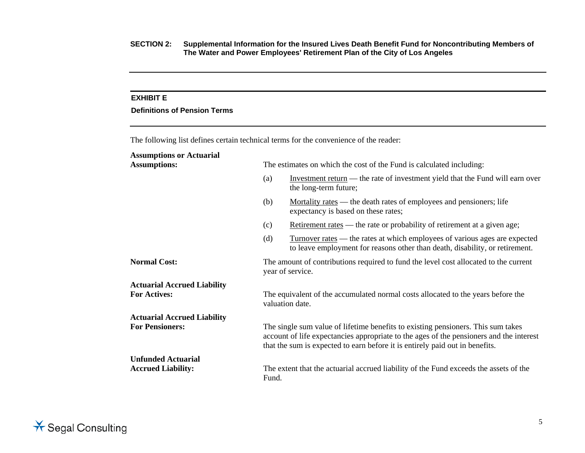## **EXHIBIT E**

## **Definitions of Pension Terms**

The following list defines certain technical terms for the convenience of the reader:

# **Assumptions or Actuarial**

| <b>Assumptions:</b>                                    | The estimates on which the cost of the Fund is calculated including:                                                                                                                                                                                        |                                                                                                                                                                   |  |  |  |
|--------------------------------------------------------|-------------------------------------------------------------------------------------------------------------------------------------------------------------------------------------------------------------------------------------------------------------|-------------------------------------------------------------------------------------------------------------------------------------------------------------------|--|--|--|
|                                                        | (a)                                                                                                                                                                                                                                                         | Investment return — the rate of investment yield that the Fund will earn over<br>the long-term future;                                                            |  |  |  |
|                                                        | (b)                                                                                                                                                                                                                                                         | <u>Mortality rates</u> — the death rates of employees and pensioners; life<br>expectancy is based on these rates;                                                 |  |  |  |
|                                                        | (c)                                                                                                                                                                                                                                                         | Retirement rates — the rate or probability of retirement at a given age;                                                                                          |  |  |  |
|                                                        | (d)                                                                                                                                                                                                                                                         | <u>Turnover rates</u> — the rates at which employees of various ages are expected<br>to leave employment for reasons other than death, disability, or retirement. |  |  |  |
| <b>Normal Cost:</b>                                    |                                                                                                                                                                                                                                                             | The amount of contributions required to fund the level cost allocated to the current<br>year of service.                                                          |  |  |  |
| <b>Actuarial Accrued Liability</b>                     |                                                                                                                                                                                                                                                             |                                                                                                                                                                   |  |  |  |
| <b>For Actives:</b>                                    |                                                                                                                                                                                                                                                             | The equivalent of the accumulated normal costs allocated to the years before the<br>valuation date.                                                               |  |  |  |
| <b>Actuarial Accrued Liability</b>                     |                                                                                                                                                                                                                                                             |                                                                                                                                                                   |  |  |  |
| <b>For Pensioners:</b>                                 | The single sum value of lifetime benefits to existing pensioners. This sum takes<br>account of life expectancies appropriate to the ages of the pensioners and the interest<br>that the sum is expected to earn before it is entirely paid out in benefits. |                                                                                                                                                                   |  |  |  |
| <b>Unfunded Actuarial</b><br><b>Accrued Liability:</b> | Fund.                                                                                                                                                                                                                                                       | The extent that the actuarial accrued liability of the Fund exceeds the assets of the                                                                             |  |  |  |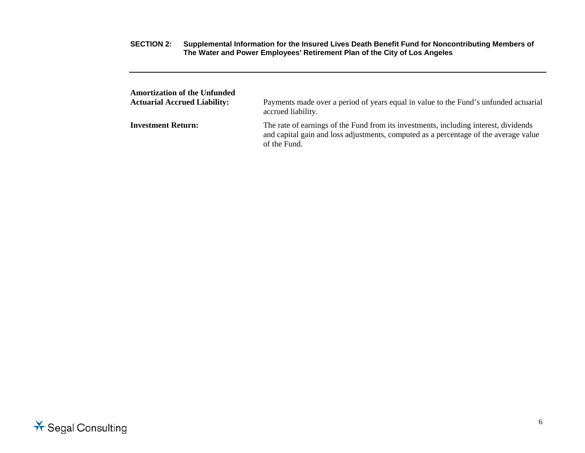| <b>Amortization of the Unfunded</b> | Payments made over a period of years equal in value to the Fund's unfunded actuarial                                                                                                         |
|-------------------------------------|----------------------------------------------------------------------------------------------------------------------------------------------------------------------------------------------|
| <b>Actuarial Accrued Liability:</b> | accrued liability.                                                                                                                                                                           |
| <b>Investment Return:</b>           | The rate of earnings of the Fund from its investments, including interest, dividends<br>and capital gain and loss adjustments, computed as a percentage of the average value<br>of the Fund. |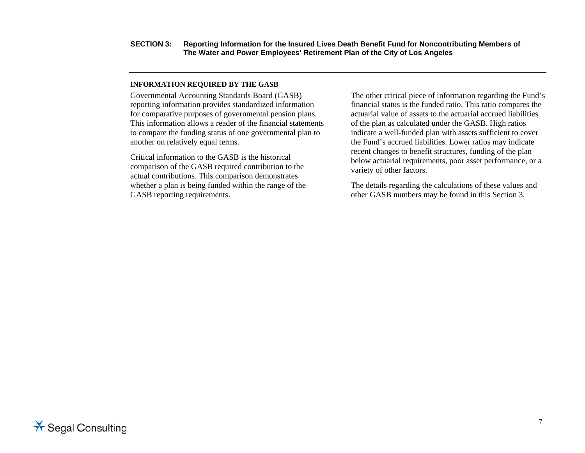#### **INFORMATION REQUIRED BY THE GASB**

Governmental Accounting Standards Board (GASB) reporting information provides standardized information for comparative purposes of governmental pension plans. This information allows a reader of the financial statements to compare the funding status of one governmental plan to another on relatively equal terms.

Critical information to the GASB is the historical comparison of the GASB required contribution to the actual contributions. This comparison demonstrates whether a plan is being funded within the range of the GASB reporting requirements.

The other critical piece of information regarding the Fund's financial status is the funded ratio. This ratio compares the actuarial value of assets to the actuarial accrued liabilities of the plan as calculated under the GASB. High ratios indicate a well-funded plan with assets sufficient to cover the Fund's accrued liabilities. Lower ratios may indicate recent changes to benefit structures, funding of the plan below actuarial requirements, poor asset performance, or a variety of other factors.

The details regarding the calculations of these values and other GASB numbers may be found in this Section 3.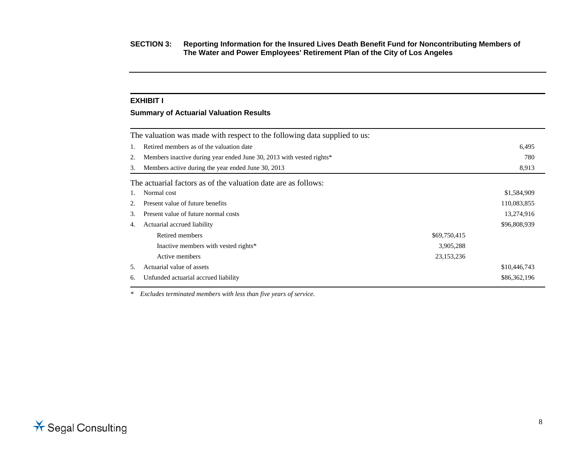#### **EXHIBIT I**

## **Summary of Actuarial Valuation Results**

|    | The valuation was made with respect to the following data supplied to us: |              |              |
|----|---------------------------------------------------------------------------|--------------|--------------|
| 1. | Retired members as of the valuation date                                  |              | 6,495        |
| 2. | Members inactive during year ended June 30, 2013 with vested rights*      |              | 780          |
| 3. | Members active during the year ended June 30, 2013                        |              | 8,913        |
|    | The actuarial factors as of the valuation date are as follows:            |              |              |
| 1. | Normal cost                                                               |              | \$1,584,909  |
| 2. | Present value of future benefits                                          |              | 110,083,855  |
| 3. | Present value of future normal costs                                      |              | 13,274,916   |
| 4. | Actuarial accrued liability                                               |              | \$96,808,939 |
|    | Retired members                                                           | \$69,750,415 |              |
|    | Inactive members with vested rights*                                      | 3,905,288    |              |
|    | Active members                                                            | 23, 153, 236 |              |
| 5. | Actuarial value of assets                                                 |              | \$10,446,743 |
| 6. | Unfunded actuarial accrued liability                                      |              | \$86,362,196 |

*\* Excludes terminated members with less than five years of service.*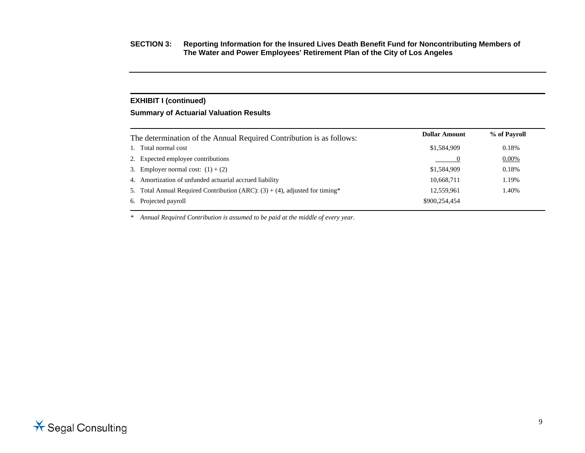## **EXHIBIT I (continued)**

## **Summary of Actuarial Valuation Results**

| The determination of the Annual Required Contribution is as follows:            | <b>Dollar Amount</b> | % of Payroll |
|---------------------------------------------------------------------------------|----------------------|--------------|
| 1. Total normal cost                                                            | \$1,584,909          | 0.18%        |
| 2. Expected employee contributions                                              |                      | 0.00%        |
| 3. Employer normal cost: $(1) + (2)$                                            | \$1,584,909          | 0.18%        |
| 4. Amortization of unfunded actuarial accrued liability                         | 10,668,711           | 1.19%        |
| 5. Total Annual Required Contribution (ARC): $(3) + (4)$ , adjusted for timing* | 12,559,961           | 1.40%        |
| 6. Projected payroll                                                            | \$900,254,454        |              |
|                                                                                 |                      |              |

*\* Annual Required Contribution is assumed to be paid at the middle of every year.*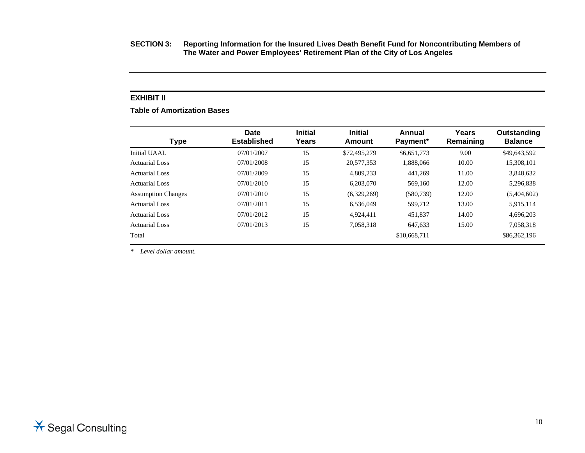#### **EXHIBIT II**

**Table of Amortization Bases** 

| Type                      | Date<br><b>Established</b> | <b>Initial</b><br>Years | <b>Initial</b><br>Amount | Annual<br>Payment* | Years<br>Remaining | Outstanding<br><b>Balance</b> |
|---------------------------|----------------------------|-------------------------|--------------------------|--------------------|--------------------|-------------------------------|
| Initial UAAL              | 07/01/2007                 | 15                      | \$72,495,279             | \$6,651,773        | 9.00               | \$49,643,592                  |
| Actuarial Loss            | 07/01/2008                 | 15                      | 20,577,353               | 1.888.066          | 10.00              | 15,308,101                    |
| Actuarial Loss            | 07/01/2009                 | 15                      | 4.809.233                | 441.269            | 11.00              | 3,848,632                     |
| Actuarial Loss            | 07/01/2010                 | 15                      | 6,203,070                | 569,160            | 12.00              | 5,296,838                     |
| <b>Assumption Changes</b> | 07/01/2010                 | 15                      | (6,329,269)              | (580, 739)         | 12.00              | (5,404,602)                   |
| Actuarial Loss            | 07/01/2011                 | 15                      | 6.536.049                | 599,712            | 13.00              | 5,915,114                     |
| <b>Actuarial Loss</b>     | 07/01/2012                 | 15                      | 4.924.411                | 451,837            | 14.00              | 4,696,203                     |
| <b>Actuarial Loss</b>     | 07/01/2013                 | 15                      | 7,058,318                | 647,633            | 15.00              | 7,058,318                     |
| Total                     |                            |                         |                          | \$10,668,711       |                    | \$86,362,196                  |

*\* Level dollar amount.*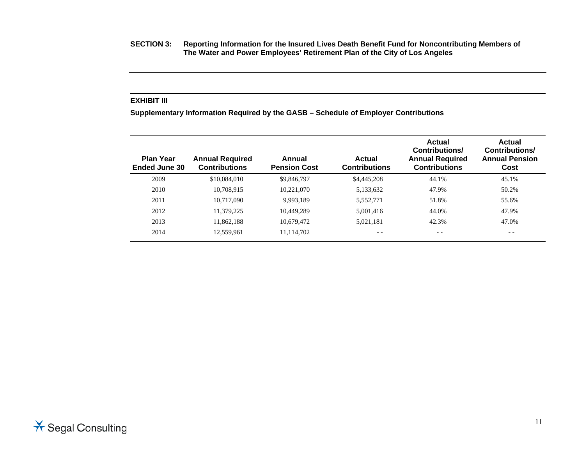#### **EXHIBIT III**

**Supplementary Information Required by the GASB – Schedule of Employer Contributions** 

| <b>Plan Year</b><br>Ended June 30 | <b>Annual Required</b><br><b>Contributions</b> | Annual<br><b>Pension Cost</b> | <b>Actual</b><br><b>Contributions</b> | Actual<br>Contributions/<br><b>Annual Required</b><br><b>Contributions</b> | Actual<br><b>Contributions/</b><br><b>Annual Pension</b><br>Cost |
|-----------------------------------|------------------------------------------------|-------------------------------|---------------------------------------|----------------------------------------------------------------------------|------------------------------------------------------------------|
| 2009                              | \$10,084,010                                   | \$9,846,797                   | \$4,445,208                           | 44.1%                                                                      | 45.1%                                                            |
| 2010                              | 10.708.915                                     | 10,221,070                    | 5,133,632                             | 47.9%                                                                      | 50.2%                                                            |
| 2011                              | 10.717.090                                     | 9.993.189                     | 5,552,771                             | 51.8%                                                                      | 55.6%                                                            |
| 2012                              | 11.379.225                                     | 10.449.289                    | 5.001.416                             | 44.0%                                                                      | 47.9%                                                            |
| 2013                              | 11.862.188                                     | 10.679.472                    | 5.021.181                             | 42.3%                                                                      | 47.0%                                                            |
| 2014                              | 12,559,961                                     | 11,114,702                    |                                       | $ -$                                                                       | $ -$                                                             |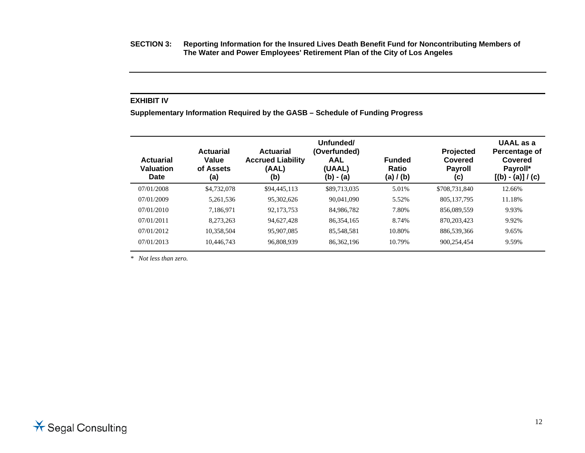**SECTION 3: Reporting Information for the Insured Lives Death Benefit Fund for Noncontributing Members of The Water and Power Employees' Retirement Plan of the City of Los Angeles** 

#### **EXHIBIT IV**

**Supplementary Information Required by the GASB – Schedule of Funding Progress** 

| Actuarial<br><b>Valuation</b><br>Date | <b>Actuarial</b><br>Value<br>of Assets<br>(a) | <b>Actuarial</b><br><b>Accrued Liability</b><br>(AAL)<br>(b) | Unfunded/<br>(Overfunded)<br><b>AAL</b><br>(UAAL)<br>$(b) - (a)$ | <b>Funded</b><br>Ratio<br>(a) / (b) | Projected<br>Covered<br><b>Payroll</b><br>(c) | <b>UAAL</b> as a<br>Percentage of<br>Covered<br>Payroll*<br>$[(b) - (a)] / (c)$ |
|---------------------------------------|-----------------------------------------------|--------------------------------------------------------------|------------------------------------------------------------------|-------------------------------------|-----------------------------------------------|---------------------------------------------------------------------------------|
| 07/01/2008                            | \$4,732,078                                   | \$94,445,113                                                 | \$89,713,035                                                     | 5.01%                               | \$708,731,840                                 | 12.66%                                                                          |
| 07/01/2009                            | 5,261,536                                     | 95,302,626                                                   | 90,041,090                                                       | 5.52%                               | 805, 137, 795                                 | 11.18%                                                                          |
| 07/01/2010                            | 7,186,971                                     | 92,173,753                                                   | 84,986,782                                                       | 7.80%                               | 856,089,559                                   | 9.93%                                                                           |
| 07/01/2011                            | 8,273,263                                     | 94,627,428                                                   | 86, 354, 165                                                     | 8.74%                               | 870.203.423                                   | 9.92%                                                                           |
| 07/01/2012                            | 10,358,504                                    | 95,907,085                                                   | 85,548,581                                                       | 10.80%                              | 886,539,366                                   | 9.65%                                                                           |
| 07/01/2013                            | 10,446,743                                    | 96,808,939                                                   | 86, 362, 196                                                     | 10.79%                              | 900,254,454                                   | 9.59%                                                                           |

*\* Not less than zero.*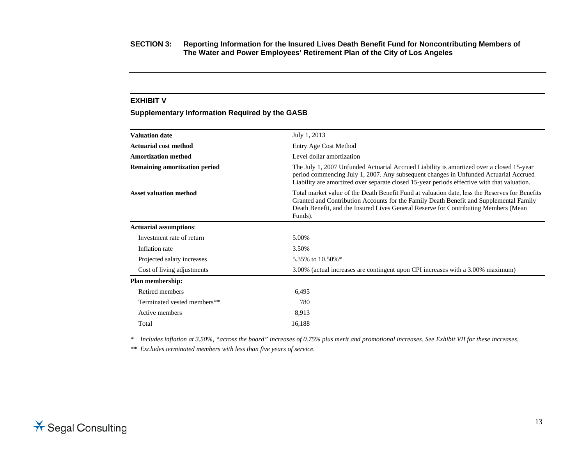## **EXHIBIT V**

## **Supplementary Information Required by the GASB**

| <b>Valuation date</b>                | July 1, 2013                                                                                                                                                                                                                                                                               |
|--------------------------------------|--------------------------------------------------------------------------------------------------------------------------------------------------------------------------------------------------------------------------------------------------------------------------------------------|
| <b>Actuarial cost method</b>         | Entry Age Cost Method                                                                                                                                                                                                                                                                      |
| <b>Amortization method</b>           | Level dollar amortization                                                                                                                                                                                                                                                                  |
| <b>Remaining amortization period</b> | The July 1, 2007 Unfunded Actuarial Accrued Liability is amortized over a closed 15-year<br>period commencing July 1, 2007. Any subsequent changes in Unfunded Actuarial Accrued<br>Liability are amortized over separate closed 15-year periods effective with that valuation.            |
| <b>Asset valuation method</b>        | Total market value of the Death Benefit Fund at valuation date, less the Reserves for Benefits<br>Granted and Contribution Accounts for the Family Death Benefit and Supplemental Family<br>Death Benefit, and the Insured Lives General Reserve for Contributing Members (Mean<br>Funds). |
| <b>Actuarial assumptions:</b>        |                                                                                                                                                                                                                                                                                            |
| Investment rate of return            | 5.00%                                                                                                                                                                                                                                                                                      |
| Inflation rate                       | 3.50%                                                                                                                                                                                                                                                                                      |
| Projected salary increases           | 5.35% to 10.50%*                                                                                                                                                                                                                                                                           |
| Cost of living adjustments           | 3.00% (actual increases are contingent upon CPI increases with a 3.00% maximum)                                                                                                                                                                                                            |
| <b>Plan membership:</b>              |                                                                                                                                                                                                                                                                                            |
| Retired members                      | 6,495                                                                                                                                                                                                                                                                                      |
| Terminated vested members**          | 780                                                                                                                                                                                                                                                                                        |
| Active members                       | 8,913                                                                                                                                                                                                                                                                                      |
| Total                                | 16,188                                                                                                                                                                                                                                                                                     |
|                                      |                                                                                                                                                                                                                                                                                            |

*\* Includes inflation at 3.50%, "across the board" increases of 0.75% plus merit and promotional increases. See Exhibit VII for these increases.* 

*\*\* Excludes terminated members with less than five years of service.*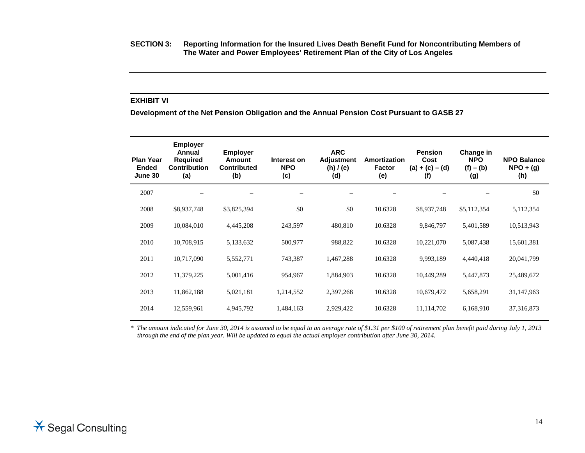**SECTION 3: Reporting Information for the Insured Lives Death Benefit Fund for Noncontributing Members of The Water and Power Employees' Retirement Plan of the City of Los Angeles** 

## **EXHIBIT VI**

**Development of the Net Pension Obligation and the Annual Pension Cost Pursuant to GASB 27** 

| <b>Plan Year</b><br>Ended<br>June 30 | <b>Employer</b><br>Annual<br><b>Required</b><br><b>Contribution</b><br>(a) | <b>Employer</b><br><b>Amount</b><br><b>Contributed</b><br>(b) | Interest on<br><b>NPO</b><br>(c) | <b>ARC</b><br><b>Adjustment</b><br>(h)/(e)<br>(d) | Amortization<br><b>Factor</b><br>(e) | <b>Pension</b><br>Cost<br>$(a) + (c) - (d)$<br>(f) | Change in<br><b>NPO</b><br>$(f) - (b)$<br>(g) | <b>NPO Balance</b><br>$NPO + (q)$<br>(h) |
|--------------------------------------|----------------------------------------------------------------------------|---------------------------------------------------------------|----------------------------------|---------------------------------------------------|--------------------------------------|----------------------------------------------------|-----------------------------------------------|------------------------------------------|
| 2007                                 |                                                                            |                                                               |                                  |                                                   |                                      |                                                    |                                               | \$0                                      |
| 2008                                 | \$8,937,748                                                                | \$3,825,394                                                   | \$0                              | \$0                                               | 10.6328                              | \$8,937,748                                        | \$5,112,354                                   | 5,112,354                                |
| 2009                                 | 10,084,010                                                                 | 4,445,208                                                     | 243,597                          | 480,810                                           | 10.6328                              | 9,846,797                                          | 5,401,589                                     | 10,513,943                               |
| 2010                                 | 10,708,915                                                                 | 5,133,632                                                     | 500,977                          | 988,822                                           | 10.6328                              | 10,221,070                                         | 5,087,438                                     | 15,601,381                               |
| 2011                                 | 10,717,090                                                                 | 5,552,771                                                     | 743,387                          | 1,467,288                                         | 10.6328                              | 9,993,189                                          | 4,440,418                                     | 20,041,799                               |
| 2012                                 | 11,379,225                                                                 | 5,001,416                                                     | 954,967                          | 1,884,903                                         | 10.6328                              | 10,449,289                                         | 5,447,873                                     | 25,489,672                               |
| 2013                                 | 11,862,188                                                                 | 5,021,181                                                     | 1,214,552                        | 2,397,268                                         | 10.6328                              | 10,679,472                                         | 5,658,291                                     | 31,147,963                               |
| 2014                                 | 12,559,961                                                                 | 4,945,792                                                     | 1,484,163                        | 2,929,422                                         | 10.6328                              | 11,114,702                                         | 6,168,910                                     | 37, 316, 873                             |

*\* The amount indicated for June 30, 2014 is assumed to be equal to an average rate of \$1.31 per \$100 of retirement plan benefit paid during July 1, 2013 through the end of the plan year. Will be updated to equal the actual employer contribution after June 30, 2014.*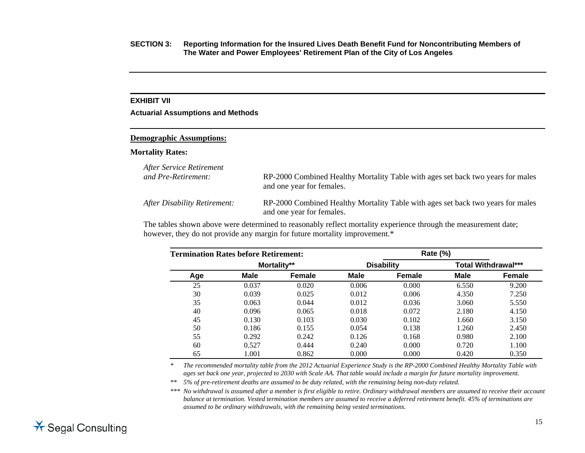#### **EXHIBIT VII**

**Actuarial Assumptions and Methods** 

#### **Demographic Assumptions:**

#### **Mortality Rates:**

| After Service Retirement     | RP-2000 Combined Healthy Mortality Table with ages set back two years for males                              |
|------------------------------|--------------------------------------------------------------------------------------------------------------|
| and Pre-Retirement:          | and one year for females.                                                                                    |
| After Disability Retirement: | RP-2000 Combined Healthy Mortality Table with ages set back two years for males<br>and one year for females. |

The tables shown above were determined to reasonably reflect mortality experience through the measurement date; however, they do not provide any margin for future mortality improvement.\*

|     | <b>Termination Rates before Retirement:</b> |             |       | Rate (%)          |             |                            |  |
|-----|---------------------------------------------|-------------|-------|-------------------|-------------|----------------------------|--|
|     |                                             | Mortality** |       | <b>Disability</b> |             | <b>Total Withdrawal***</b> |  |
| Age | Male                                        | Female      | Male  | <b>Female</b>     | <b>Male</b> | Female                     |  |
| 25  | 0.037                                       | 0.020       | 0.006 | 0.000             | 6.550       | 9.200                      |  |
| 30  | 0.039                                       | 0.025       | 0.012 | 0.006             | 4.350       | 7.250                      |  |
| 35  | 0.063                                       | 0.044       | 0.012 | 0.036             | 3.060       | 5.550                      |  |
| 40  | 0.096                                       | 0.065       | 0.018 | 0.072             | 2.180       | 4.150                      |  |
| 45  | 0.130                                       | 0.103       | 0.030 | 0.102             | 1.660       | 3.150                      |  |
| 50  | 0.186                                       | 0.155       | 0.054 | 0.138             | 1.260       | 2.450                      |  |
| 55  | 0.292                                       | 0.242       | 0.126 | 0.168             | 0.980       | 2.100                      |  |
| 60  | 0.527                                       | 0.444       | 0.240 | 0.000             | 0.720       | 1.100                      |  |
| 65  | 1.001                                       | 0.862       | 0.000 | 0.000             | 0.420       | 0.350                      |  |

*\* The recommended mortality table from the 2012 Actuarial Experience Study is the RP-2000 Combined Healthy Mortality Table with ages set back one year, projected to 2030 with Scale AA. That table would include a margin for future mortality improvement.* 

*\*\* 5% of pre-retirement deaths are assumed to be duty related, with the remaining being non-duty related.* 

*\*\*\* No withdrawal is assumed after a member is first eligible to retire. Ordinary withdrawal members are assumed to receive their account balance at termination. Vested termination members are assumed to receive a deferred retirement benefit. 45% of terminations are assumed to be ordinary withdrawals, with the remaining being vested terminations.*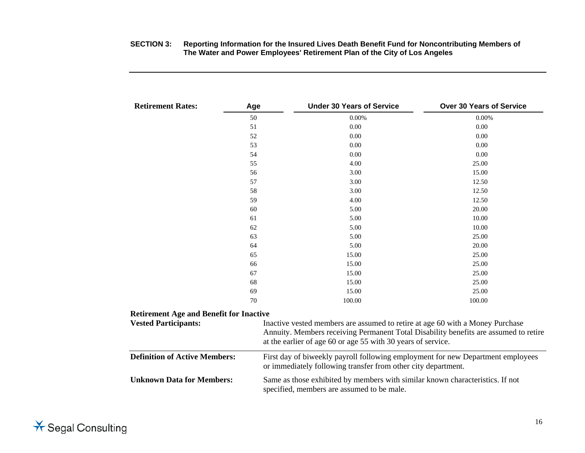| <b>Retirement Rates:</b>                       | Age | <b>Under 30 Years of Service</b>                                                                                                                 | <b>Over 30 Years of Service</b>                                                                                                                                                                                                       |  |  |  |
|------------------------------------------------|-----|--------------------------------------------------------------------------------------------------------------------------------------------------|---------------------------------------------------------------------------------------------------------------------------------------------------------------------------------------------------------------------------------------|--|--|--|
|                                                | 50  | 0.00%                                                                                                                                            | $0.00\%$                                                                                                                                                                                                                              |  |  |  |
|                                                | 51  | 0.00                                                                                                                                             | 0.00                                                                                                                                                                                                                                  |  |  |  |
|                                                | 52  | 0.00                                                                                                                                             | 0.00                                                                                                                                                                                                                                  |  |  |  |
|                                                | 53  | 0.00                                                                                                                                             | 0.00                                                                                                                                                                                                                                  |  |  |  |
|                                                | 54  | 0.00                                                                                                                                             | 0.00                                                                                                                                                                                                                                  |  |  |  |
|                                                | 55  | 4.00                                                                                                                                             | 25.00                                                                                                                                                                                                                                 |  |  |  |
|                                                | 56  | 3.00                                                                                                                                             | 15.00                                                                                                                                                                                                                                 |  |  |  |
|                                                | 57  | 3.00                                                                                                                                             | 12.50                                                                                                                                                                                                                                 |  |  |  |
|                                                | 58  | 3.00                                                                                                                                             | 12.50                                                                                                                                                                                                                                 |  |  |  |
|                                                | 59  | 4.00                                                                                                                                             | 12.50                                                                                                                                                                                                                                 |  |  |  |
|                                                | 60  | 5.00                                                                                                                                             | 20.00                                                                                                                                                                                                                                 |  |  |  |
|                                                | 61  | 5.00                                                                                                                                             | 10.00                                                                                                                                                                                                                                 |  |  |  |
|                                                | 62  | 5.00                                                                                                                                             | 10.00                                                                                                                                                                                                                                 |  |  |  |
|                                                | 63  | 5.00                                                                                                                                             | 25.00                                                                                                                                                                                                                                 |  |  |  |
|                                                | 64  | 5.00                                                                                                                                             | 20.00                                                                                                                                                                                                                                 |  |  |  |
|                                                | 65  | 15.00                                                                                                                                            | 25.00                                                                                                                                                                                                                                 |  |  |  |
|                                                | 66  | 15.00                                                                                                                                            | 25.00                                                                                                                                                                                                                                 |  |  |  |
|                                                | 67  | 15.00                                                                                                                                            | 25.00                                                                                                                                                                                                                                 |  |  |  |
|                                                | 68  | 15.00                                                                                                                                            | 25.00                                                                                                                                                                                                                                 |  |  |  |
|                                                | 69  | 15.00                                                                                                                                            | 25.00                                                                                                                                                                                                                                 |  |  |  |
|                                                | 70  | 100.00                                                                                                                                           | 100.00                                                                                                                                                                                                                                |  |  |  |
| <b>Retirement Age and Benefit for Inactive</b> |     |                                                                                                                                                  |                                                                                                                                                                                                                                       |  |  |  |
| <b>Vested Participants:</b>                    |     |                                                                                                                                                  | Inactive vested members are assumed to retire at age 60 with a Money Purchase<br>Annuity. Members receiving Permanent Total Disability benefits are assumed to retire<br>at the earlier of age 60 or age 55 with 30 years of service. |  |  |  |
| <b>Definition of Active Members:</b>           |     | First day of biweekly payroll following employment for new Department employees<br>or immediately following transfer from other city department. |                                                                                                                                                                                                                                       |  |  |  |
| <b>Unknown Data for Members:</b>               |     | specified, members are assumed to be male.                                                                                                       | Same as those exhibited by members with similar known characteristics. If not                                                                                                                                                         |  |  |  |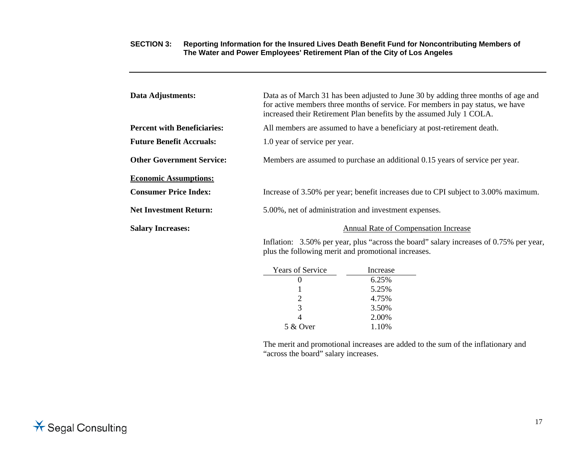| Data Adjustments:                  |                                                     | Data as of March 31 has been adjusted to June 30 by adding three months of age and<br>for active members three months of service. For members in pay status, we have<br>increased their Retirement Plan benefits by the assumed July 1 COLA. |  |  |  |  |
|------------------------------------|-----------------------------------------------------|----------------------------------------------------------------------------------------------------------------------------------------------------------------------------------------------------------------------------------------------|--|--|--|--|
| <b>Percent with Beneficiaries:</b> |                                                     | All members are assumed to have a beneficiary at post-retirement death.                                                                                                                                                                      |  |  |  |  |
| <b>Future Benefit Accruals:</b>    |                                                     | 1.0 year of service per year.                                                                                                                                                                                                                |  |  |  |  |
| <b>Other Government Service:</b>   |                                                     | Members are assumed to purchase an additional 0.15 years of service per year.                                                                                                                                                                |  |  |  |  |
| <b>Economic Assumptions:</b>       |                                                     |                                                                                                                                                                                                                                              |  |  |  |  |
| <b>Consumer Price Index:</b>       |                                                     | Increase of 3.50% per year; benefit increases due to CPI subject to 3.00% maximum.                                                                                                                                                           |  |  |  |  |
| <b>Net Investment Return:</b>      |                                                     | 5.00%, net of administration and investment expenses.                                                                                                                                                                                        |  |  |  |  |
| <b>Salary Increases:</b>           |                                                     | Annual Rate of Compensation Increase                                                                                                                                                                                                         |  |  |  |  |
|                                    | plus the following merit and promotional increases. | Inflation: 3.50% per year, plus "across the board" salary increases of 0.75% per year,                                                                                                                                                       |  |  |  |  |
|                                    | <b>Years of Service</b><br>$\boldsymbol{0}$         | Increase<br>6.25%                                                                                                                                                                                                                            |  |  |  |  |
|                                    |                                                     |                                                                                                                                                                                                                                              |  |  |  |  |

| 6.25% |
|-------|
| 5.25% |
| 4.75% |
| 3.50% |
| 2.00% |
| 1.10% |
|       |

 The merit and promotional increases are added to the sum of the inflationary and "across the board" salary increases.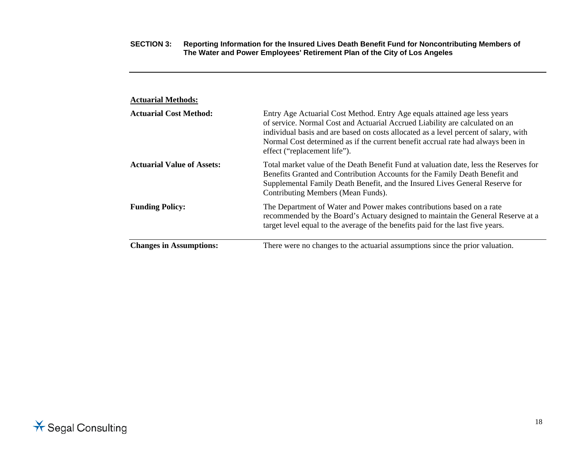| <b>Actuarial Methods:</b>         |                                                                                                                                                                                                                                                                                                                                                                       |
|-----------------------------------|-----------------------------------------------------------------------------------------------------------------------------------------------------------------------------------------------------------------------------------------------------------------------------------------------------------------------------------------------------------------------|
| <b>Actuarial Cost Method:</b>     | Entry Age Actuarial Cost Method. Entry Age equals attained age less years<br>of service. Normal Cost and Actuarial Accrued Liability are calculated on an<br>individual basis and are based on costs allocated as a level percent of salary, with<br>Normal Cost determined as if the current benefit accrual rate had always been in<br>effect ("replacement life"). |
| <b>Actuarial Value of Assets:</b> | Total market value of the Death Benefit Fund at valuation date, less the Reserves for<br>Benefits Granted and Contribution Accounts for the Family Death Benefit and<br>Supplemental Family Death Benefit, and the Insured Lives General Reserve for<br>Contributing Members (Mean Funds).                                                                            |
| <b>Funding Policy:</b>            | The Department of Water and Power makes contributions based on a rate<br>recommended by the Board's Actuary designed to maintain the General Reserve at a<br>target level equal to the average of the benefits paid for the last five years.                                                                                                                          |
| <b>Changes in Assumptions:</b>    | There were no changes to the actuarial assumptions since the prior valuation.                                                                                                                                                                                                                                                                                         |